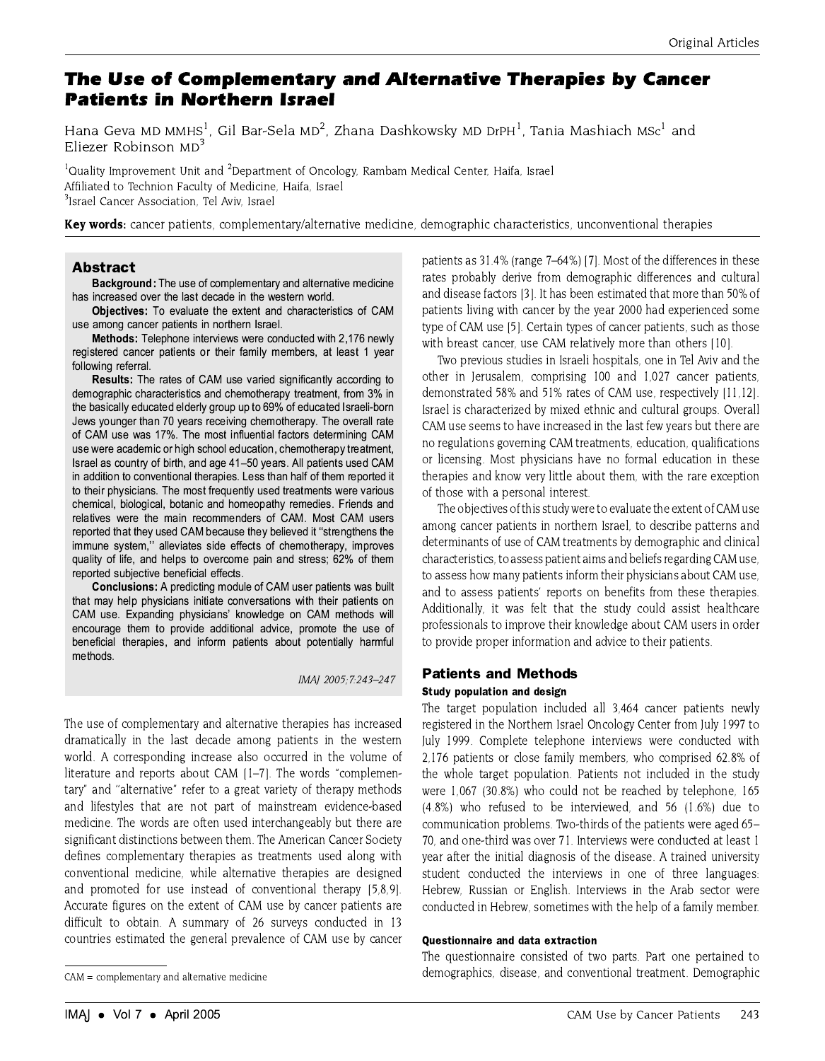# The Use of Complementary and Alternative Therapies by Cancer **Patients in Northern Israel**

Hana Geva MD MMHS<sup>1</sup>, Gil Bar-Sela MD<sup>2</sup>, Zhana Dashkowsky MD DrPH<sup>1</sup>, Tania Mashiach MSc<sup>1</sup> and Eliezer Robinson MD<sup>3</sup>

<sup>1</sup>Quality Improvement Unit and <sup>2</sup>Department of Oncology, Rambam Medical Center, Haifa, Israel Affiliated to Technion Faculty of Medicine, Haifa, Israel <sup>3</sup> Israel Cancer Association. Tel Aviv. Israel

Key words: cancer patients, complementary/alternative medicine, demographic characteristics, unconventional therapies

# **Abstract**

**Background:** The use of complementary and alternative medicine has increased over the last decade in the western world.

Objectives: To evaluate the extent and characteristics of CAM use among cancer patients in northern Israel.

Methods: Telephone interviews were conducted with 2,176 newly registered cancer patients or their family members, at least 1 year following referral.

Results: The rates of CAM use varied significantly according to demographic characteristics and chemotherapy treatment, from 3% in the basically educated elderly group up to 69% of educated Israeli-born Jews younger than 70 years receiving chemotherapy. The overall rate of CAM use was 17%. The most influential factors determining CAM use were academic or high school education, chemotherapy treatment, Israel as country of birth, and age 41-50 years. All patients used CAM in addition to conventional therapies. Less than half of them reported it to their physicians. The most frequently used treatments were various chemical, biological, botanic and homeopathy remedies. Friends and relatives were the main recommenders of CAM. Most CAM users reported that they used CAM because they believed it "strengthens the immune system," alleviates side effects of chemotherapy, improves quality of life, and helps to overcome pain and stress; 62% of them reported subjective beneficial effects.

**Conclusions:** A predicting module of CAM user patients was built that may help physicians initiate conversations with their patients on CAM use. Expanding physicians' knowledge on CAM methods will encourage them to provide additional advice, promote the use of beneficial therapies, and inform patients about potentially harmful methods.

IMAI 2005: 7:243-247

The use of complementary and alternative therapies has increased dramatically in the last decade among patients in the western world. A corresponding increase also occurred in the volume of literature and reports about CAM [1-7]. The words "complementary" and "alternative" refer to a great variety of therapy methods and lifestyles that are not part of mainstream evidence-based medicine. The words are often used interchangeably but there are significant distinctions between them. The American Cancer Society defines complementary therapies as treatments used along with conventional medicine, while alternative therapies are designed and promoted for use instead of conventional therapy [5,8,9]. Accurate figures on the extent of CAM use by cancer patients are difficult to obtain. A summary of 26 surveys conducted in 13 countries estimated the general prevalence of CAM use by cancer patients as 31.4% (range 7–64%) [7]. Most of the differences in these rates probably derive from demographic differences and cultural and disease factors [3]. It has been estimated that more than 50% of patients living with cancer by the year 2000 had experienced some type of CAM use [5]. Certain types of cancer patients, such as those with breast cancer, use CAM relatively more than others [10].

Two previous studies in Israeli hospitals, one in Tel Aviv and the other in Jerusalem, comprising 100 and 1,027 cancer patients, demonstrated 58% and 51% rates of CAM use, respectively [11,12]. Israel is characterized by mixed ethnic and cultural groups. Overall CAM use seems to have increased in the last few years but there are no regulations governing CAM treatments, education, qualifications or licensing. Most physicians have no formal education in these therapies and know very little about them, with the rare exception of those with a personal interest.

The objectives of this study were to evaluate the extent of CAM use among cancer patients in northern Israel, to describe patterns and determinants of use of CAM treatments by demographic and clinical characteristics, to assess patient aims and beliefs regarding CAM use, to assess how many patients inform their physicians about CAM use. and to assess patients' reports on benefits from these therapies. Additionally, it was felt that the study could assist healthcare professionals to improve their knowledge about CAM users in order to provide proper information and advice to their patients.

# **Patients and Methods**

## Study population and design

The target population included all 3,464 cancer patients newly registered in the Northern Israel Oncology Center from July 1997 to July 1999. Complete telephone interviews were conducted with 2,176 patients or close family members, who comprised 62.8% of the whole target population. Patients not included in the study were 1,067 (30.8%) who could not be reached by telephone, 165 (4.8%) who refused to be interviewed, and 56 (1.6%) due to communication problems. Two-thirds of the patients were aged 65– 70, and one-third was over 71. Interviews were conducted at least 1 year after the initial diagnosis of the disease. A trained university student conducted the interviews in one of three languages: Hebrew, Russian or English. Interviews in the Arab sector were conducted in Hebrew, sometimes with the help of a family member.

#### **Ouestionnaire and data extraction**

The questionnaire consisted of two parts. Part one pertained to demographics, disease, and conventional treatment. Demographic

 $CAM = complementary$  and alternative medicine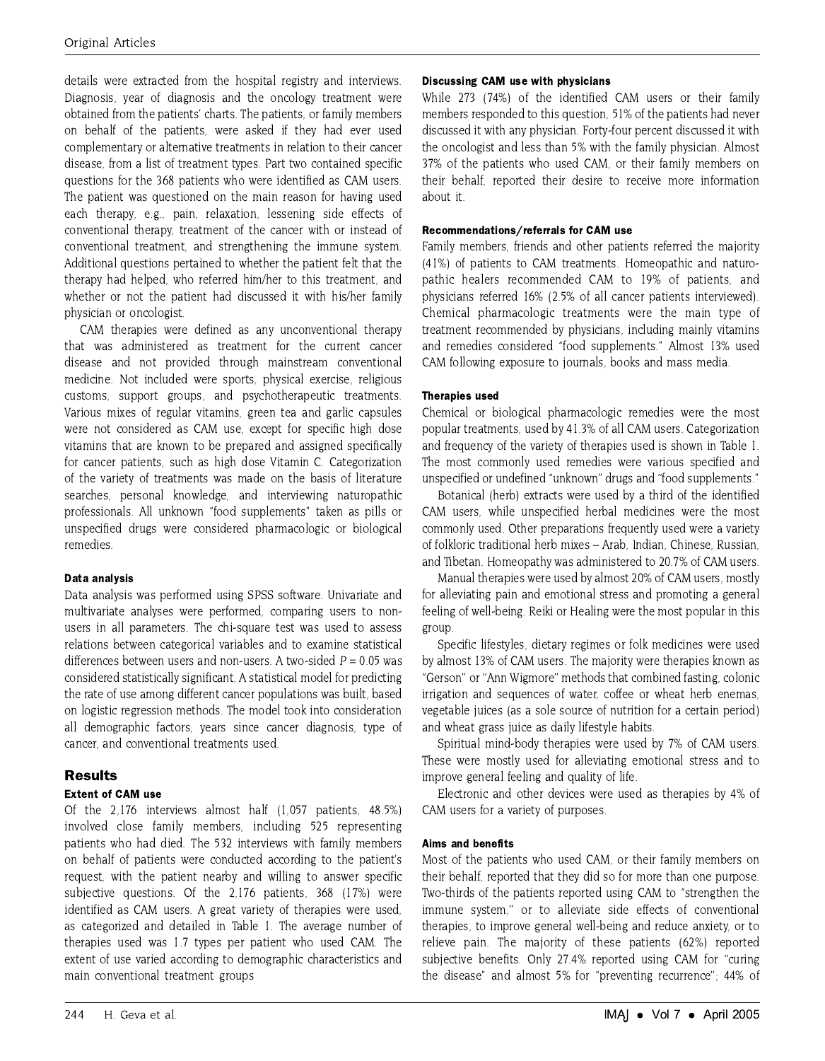details were extracted from the hospital registry and interviews. Diagnosis, year of diagnosis and the oncology treatment were obtained from the patients' charts. The patients, or family members on behalf of the patients, were asked if they had ever used complementary or alternative treatments in relation to their cancer disease, from a list of treatment types. Part two contained specific questions for the 368 patients who were identified as CAM users. The patient was questioned on the main reason for having used each therapy, e.g., pain, relaxation, lessening side effects of conventional therapy, treatment of the cancer with or instead of conventional treatment, and strengthening the immune system. Additional questions pertained to whether the patient felt that the therapy had helped, who referred him/her to this treatment, and whether or not the patient had discussed it with his/her family physician or oncologist.

CAM therapies were defined as any unconventional therapy that was administered as treatment for the current cancer disease and not provided through mainstream conventional medicine. Not included were sports, physical exercise, religious customs, support groups, and psychotherapeutic treatments. Various mixes of regular vitamins, green tea and garlic capsules were not considered as CAM use, except for specific high dose vitamins that are known to be prepared and assigned specifically for cancer patients, such as high dose Vitamin C. Categorization of the variety of treatments was made on the basis of literature searches, personal knowledge, and interviewing naturopathic professionals. All unknown "food supplements" taken as pills or unspecified drugs were considered pharmacologic or biological remedies.

## Data analysis

Data analysis was performed using SPSS software. Univariate and multivariate analyses were performed, comparing users to nonusers in all parameters. The chi-square test was used to assess relations between categorical variables and to examine statistical differences between users and non-users. A two-sided  $P = 0.05$  was considered statistically significant. A statistical model for predicting the rate of use among different cancer populations was built, based on logistic regression methods. The model took into consideration all demographic factors, years since cancer diagnosis, type of cancer, and conventional treatments used

# **Results**

# **Extent of CAM use**

Of the 2,176 interviews almost half (1,057 patients, 48.5%) involved close family members, including 525 representing patients who had died. The 532 interviews with family members on behalf of patients were conducted according to the patient's request, with the patient nearby and willing to answer specific subjective questions. Of the 2,176 patients, 368 (17%) were identified as CAM users. A great variety of therapies were used, as categorized and detailed in Table 1. The average number of therapies used was 1.7 types per patient who used CAM. The extent of use varied according to demographic characteristics and main conventional treatment groups

# **Discussing CAM use with physicians**

While 273 (74%) of the identified CAM users or their family members responded to this question, 51% of the patients had never discussed it with any physician. Forty-four percent discussed it with the oncologist and less than 5% with the family physician. Almost 37% of the patients who used CAM, or their family members on their behalf, reported their desire to receive more information about it.

# Recommendations/referrals for CAM use

Family members, friends and other patients referred the majority (41%) of patients to CAM treatments. Homeopathic and naturopathic healers recommended CAM to 19% of patients, and physicians referred 16% (2.5% of all cancer patients interviewed). Chemical pharmacologic treatments were the main type of treatment recommended by physicians, including mainly vitamins and remedies considered "food supplements." Almost 13% used CAM following exposure to journals, books and mass media.

# **Therapies used**

Chemical or biological pharmacologic remedies were the most popular treatments, used by 41.3% of all CAM users. Categorization and frequency of the variety of therapies used is shown in Table 1. The most commonly used remedies were various specified and unspecified or undefined "unknown" drugs and "food supplements."

Botanical (herb) extracts were used by a third of the identified CAM users, while unspecified herbal medicines were the most commonly used. Other preparations frequently used were a variety of folkloric traditional herb mixes - Arab, Indian, Chinese, Russian, and Tibetan. Homeopathy was administered to 20.7% of CAM users.

Manual therapies were used by almost 20% of CAM users, mostly for alleviating pain and emotional stress and promoting a general feeling of well-being. Reiki or Healing were the most popular in this group.

Specific lifestyles, dietary regimes or folk medicines were used by almost 13% of CAM users. The majority were therapies known as "Gerson" or "Ann Wigmore" methods that combined fasting, colonic irrigation and sequences of water, coffee or wheat herb enemas, vegetable juices (as a sole source of nutrition for a certain period) and wheat grass juice as daily lifestyle habits.

Spiritual mind-body therapies were used by 7% of CAM users. These were mostly used for alleviating emotional stress and to improve general feeling and quality of life.

Electronic and other devices were used as therapies by 4% of CAM users for a variety of purposes

## Aims and benefits

Most of the patients who used CAM, or their family members on their behalf, reported that they did so for more than one purpose. Two-thirds of the patients reported using CAM to "strengthen the immune system," or to alleviate side effects of conventional therapies, to improve general well-being and reduce anxiety, or to relieve pain. The majority of these patients (62%) reported subjective benefits. Only 27.4% reported using CAM for "curing the disease" and almost 5% for "preventing recurrence"; 44% of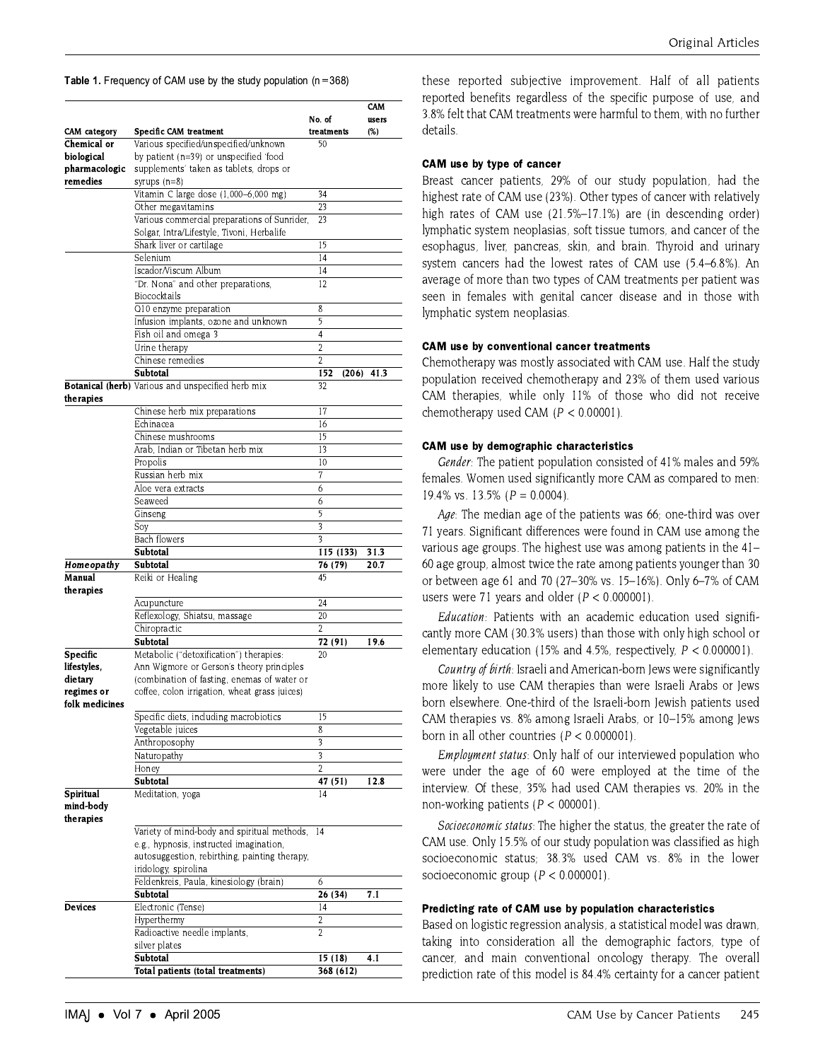**Table 1.** Frequency of CAM use by the study population ( $n = 368$ )

|                     |                                                   | No. of               | CAM<br>users |
|---------------------|---------------------------------------------------|----------------------|--------------|
| <b>CAM</b> category | <b>Specific CAM treatment</b>                     | treatments           | (%)          |
| Chemical or         | Various specified/unspecified/unknown             | 50                   |              |
| biological          | by patient (n=39) or unspecified 'food            |                      |              |
| pharmacologic       | supplements' taken as tablets, drops or           |                      |              |
| remedies            |                                                   |                      |              |
|                     | syrups $(n=8)$                                    | 34                   |              |
|                     | Vitamin C large dose (1,000-6,000 mg)             |                      |              |
|                     | Other megavitamins                                | 23                   |              |
|                     | Various commercial preparations of Sunrider,      | 23                   |              |
|                     | Solgar, Intra/Lifestyle, Tivoni, Herbalife        |                      |              |
|                     | Shark liver or cartilage                          | 15                   |              |
|                     | Selenium                                          | 4                    |              |
|                     | Iscador/Viscum Album                              | 14                   |              |
|                     | "Dr. Nona" and other preparations,                | 12                   |              |
|                     | Biococktails                                      |                      |              |
|                     | Q10 enzyme preparation                            | 8                    |              |
|                     | Infusion implants, ozone and unknown              | 5                    |              |
|                     | Fish oil and omega 3                              | $\overline{4}$       |              |
|                     | Urine therapy                                     | 2                    |              |
|                     | Chinese remedies                                  | $\overline{2}$       |              |
|                     | Subtotal                                          | 152<br>(206)         | 41.3         |
|                     | Botanical (herb) Various and unspecified herb mix | 32                   |              |
| therapies           |                                                   |                      |              |
|                     |                                                   |                      |              |
|                     | Chinese herb mix preparations                     | 17                   |              |
|                     | Echinacea                                         | 16                   |              |
|                     | Chinese mushrooms                                 | 15                   |              |
|                     | Arab. Indian or Tibetan herb mix                  | 13                   |              |
|                     | Propolis                                          | 10                   |              |
|                     | Russian herb mix                                  | 7                    |              |
|                     | Aloe vera extracts                                | 6                    |              |
|                     | Seaweed                                           | 6                    |              |
|                     | Ginseng                                           | 5                    |              |
|                     | Soy                                               | 3                    |              |
|                     | Bach flowers                                      | 3                    |              |
|                     | Subtotal                                          | 115 (133)            | 31.3         |
| Homeopathy          | Subtotal                                          | 76 (79)              | 20.7         |
| Manual              | Reiki or Healing                                  | 45                   |              |
| therapies           |                                                   |                      |              |
|                     |                                                   | 24                   |              |
|                     | Acupuncture                                       |                      |              |
|                     | Reflexology, Shiatsu, massage                     | 20                   |              |
|                     | Chiropractic                                      | $\mathfrak{D}$       |              |
|                     | Subtotal                                          | 72 (91)              | 19.6         |
| Specific            | Metabolic ("detoxification") therapies:           | 20                   |              |
| lifestyles,         | Ann Wigmore or Gerson's theory principles         |                      |              |
| dietary             | (combination of fasting, enemas of water or       |                      |              |
| regimes or          | coffee, colon irrigation, wheat grass juices)     |                      |              |
| folk medicines      |                                                   |                      |              |
|                     | Specific diets, including macrobiotics            | 15                   |              |
|                     | Vegetable juices                                  | 8                    |              |
|                     | Anthroposophy                                     | 3                    |              |
|                     | Naturopathy                                       | 3                    |              |
|                     | Honey                                             | $\overline{2}$       |              |
|                     | Subtotal                                          | 47 (51)              | 12.8         |
| Spiritual           |                                                   | 4                    |              |
| mind-body           | Meditation, yoga                                  |                      |              |
|                     |                                                   |                      |              |
| therapies           |                                                   |                      |              |
|                     | Variety of mind-body and spiritual methods,       | 4                    |              |
|                     | e.g., hypnosis, instructed imagination,           |                      |              |
|                     | autosuggestion, rebirthing, painting therapy,     |                      |              |
|                     | iridology, spirolina                              |                      |              |
|                     | Feldenkreis, Paula, kinesiology (brain)           | 6                    |              |
|                     | Subtotal                                          | 26 (34)              | 7.1          |
| <b>Devices</b>      | Electronic (Tense)                                | 4                    |              |
|                     | Hyperthermy                                       | 2                    |              |
|                     | Radioactive needle implants,                      | 2                    |              |
|                     | silver plates                                     |                      |              |
|                     | Subtotal                                          |                      | 4.1          |
|                     | Total natients (total treatment                   | 15 (18)<br>368 (612) |              |
|                     |                                                   |                      |              |

these reported subjective improvement. Half of all patients reported benefits regardless of the specific purpose of use, and 3.8% felt that CAM treatments were harmful to them, with no further details.

#### CAM use by type of cancer

Breast cancer patients, 29% of our study population, had the highest rate of CAM use (23%). Other types of cancer with relatively high rates of CAM use (21.5%-17.1%) are (in descending order) lymphatic system neoplasias, soft tissue tumors, and cancer of the esophagus, liver, pancreas, skin, and brain. Thyroid and urinary system cancers had the lowest rates of CAM use (5.4–6.8%). An average of more than two types of CAM treatments per patient was seen in females with genital cancer disease and in those with lymphatic system neoplasias.

#### **CAM use by conventional cancer treatments**

Chemotherapy was mostly associated with CAM use. Half the study population received chemotherapy and 23% of them used various CAM therapies, while only 11% of those who did not receive chemotherapy used CAM ( $P < 0.00001$ ).

#### **CAM** use by demographic characteristics

Gender: The patient population consisted of 41% males and 59% females. Women used significantly more CAM as compared to men: 19.4% vs. 13.5% ( $P = 0.0004$ ).

Age: The median age of the patients was 66; one-third was over 71 years. Significant differences were found in CAM use among the various age groups. The highest use was among patients in the 41– 60 age group, almost twice the rate among patients younger than 30 or between age 61 and 70 (27-30% vs. 15-16%). Only 6-7% of CAM users were 71 years and older ( $P < 0.000001$ ).

Education: Patients with an academic education used significantly more CAM (30.3% users) than those with only high school or elementary education (15% and 4.5%, respectively,  $P < 0.000001$ ).

Country of birth: Israeli and American-born Jews were significantly more likely to use CAM therapies than were Israeli Arabs or Jews born elsewhere. One-third of the Israeli-born Jewish patients used CAM therapies vs. 8% among Israeli Arabs, or 10-15% among Jews born in all other countries  $(P < 0.000001)$ .

*Employment status:* Only half of our interviewed population who were under the age of 60 were employed at the time of the interview. Of these, 35% had used CAM therapies vs. 20% in the non-working patients ( $P < 000001$ ).

Socioeconomic status: The higher the status, the greater the rate of CAM use. Only 15.5% of our study population was classified as high socioeconomic status; 38.3% used CAM vs. 8% in the lower socioeconomic group ( $P < 0.000001$ ).

#### Predicting rate of CAM use by population characteristics

Based on logistic regression analysis, a statistical model was drawn, taking into consideration all the demographic factors, type of cancer, and main conventional oncology therapy. The overall prediction rate of this model is 84.4% certainty for a cancer patient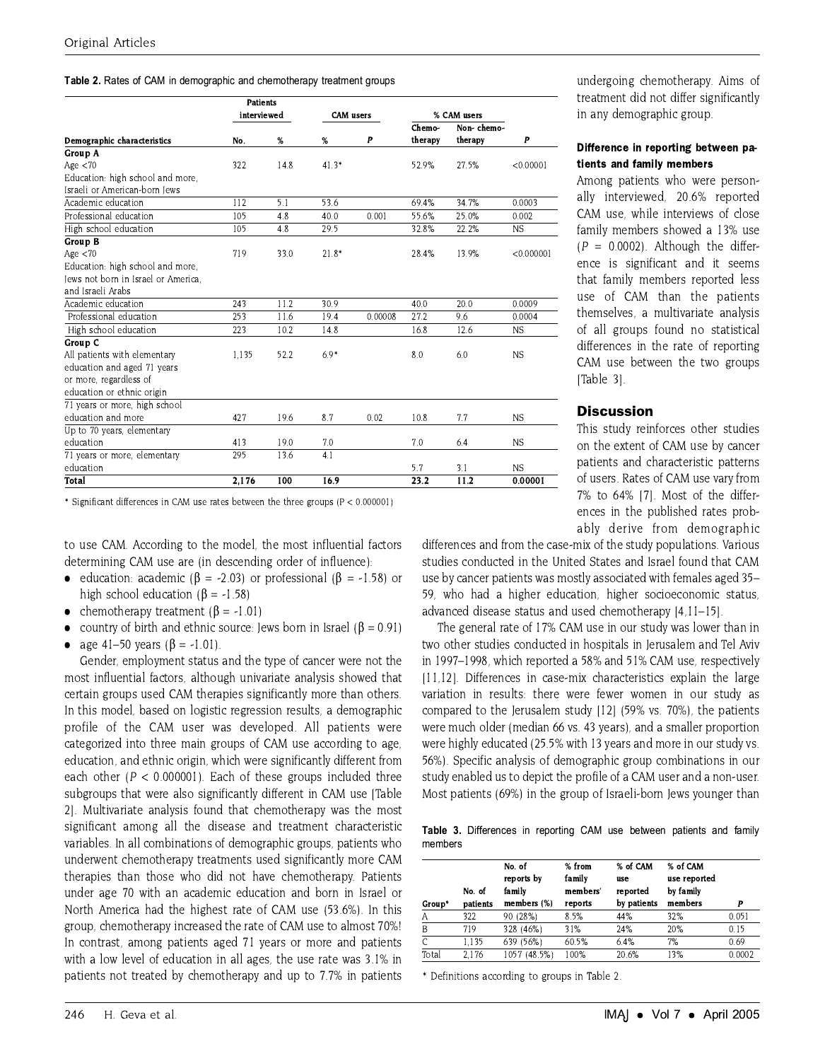#### Table 2. Rates of CAM in demographic and chemotherapy treatment groups

|                                     | <b>Patients</b> |      |                  |         |             |            |            |
|-------------------------------------|-----------------|------|------------------|---------|-------------|------------|------------|
|                                     | interviewed     |      | <b>CAM</b> users |         | % CAM users |            |            |
|                                     |                 |      |                  |         | Chemo-      | Non-chemo- |            |
| Demographic characteristics         | No.             | %    | %                | P       | therapy     | therapy    | P          |
| Group A                             |                 |      |                  |         |             |            |            |
| Age $<$ 70                          | 322             | 14.8 | $41.3*$          |         | 52.9%       | 27.5%      | < 0.00001  |
| Education: high school and more,    |                 |      |                  |         |             |            |            |
| Israeli or American-born Jews       |                 |      |                  |         |             |            |            |
| Academic education                  | 112             | 5.1  | 53.6             |         | 69.4%       | 34.7%      | 0.0003     |
| Professional education              | 105             | 4.8  | 40.0             | 0.001   | 55.6%       | 25.0%      | 0.002      |
| High school education               | 105             | 4.8  | 29.5             |         | 32.8%       | 22.2%      | <b>NS</b>  |
| Group B                             |                 |      |                  |         |             |            |            |
| Age $<$ 70                          | 719             | 33.0 | $21.8*$          |         | 28.4%       | 13.9%      | < 0.000001 |
| Education: high school and more.    |                 |      |                  |         |             |            |            |
| Jews not born in Israel or America. |                 |      |                  |         |             |            |            |
| and Israeli Arabs                   |                 |      |                  |         |             |            |            |
| Academic education                  | 243             | 11.2 | 30.9             |         | 40.0        | 20.0       | 0.0009     |
| Professional education              | 253             | 11.6 | 19.4             | 0.00008 | 27.2        | 9.6        | 0.0004     |
| High school education               | 223             | 10.2 | 14.8             |         | 16.8        | 12.6       | <b>NS</b>  |
| Group C                             |                 |      |                  |         |             |            |            |
| All patients with elementary        | 1.135           | 52.2 | $6.9*$           |         | 8.0         | 6.0        | <b>NS</b>  |
| education and aged 71 years         |                 |      |                  |         |             |            |            |
| or more, regardless of              |                 |      |                  |         |             |            |            |
| education or ethnic origin          |                 |      |                  |         |             |            |            |
| 71 years or more, high school       |                 |      |                  |         |             |            |            |
| education and more                  | 427             | 19.6 | 8.7              | 0.02    | 10.8        | 7.7        | <b>NS</b>  |
| Up to 70 years, elementary          |                 |      |                  |         |             |            |            |
| education                           | 413             | 19.0 | 7.0              |         | 7.0         | 6.4        | <b>NS</b>  |
| 71 years or more, elementary        | 295             | 13.6 | 4.1              |         |             |            |            |
| education                           |                 |      |                  |         | 5.7         | 3.1        | <b>NS</b>  |
| Total                               | 2,176           | 100  | 16.9             |         | 23.2        | 11.2       | 0.00001    |

\* Significant differences in CAM use rates between the three groups ( $P < 0.000001$ )

to use CAM. According to the model, the most influential factors determining CAM use are (in descending order of influence):

- education: academic ( $\beta$  = -2.03) or professional ( $\beta$  = -1.58) or high school education ( $\beta$  = -1.58)
- chemotherapy treatment  $(\beta = -1.01)$
- country of birth and ethnic source: Jews born in Israel ( $\beta$  = 0.91)  $\bullet$
- age 41–50 years ( $\beta$  = -1.01).

Gender, employment status and the type of cancer were not the most influential factors, although univariate analysis showed that certain groups used CAM therapies significantly more than others. In this model, based on logistic regression results, a demographic profile of the CAM user was developed. All patients were categorized into three main groups of CAM use according to age, education, and ethnic origin, which were significantly different from each other ( $P < 0.000001$ ). Each of these groups included three subgroups that were also significantly different in CAM use [Table 2]. Multivariate analysis found that chemotherapy was the most significant among all the disease and treatment characteristic variables. In all combinations of demographic groups, patients who underwent chemotherapy treatments used significantly more CAM therapies than those who did not have chemotherapy. Patients under age 70 with an academic education and born in Israel or North America had the highest rate of CAM use (53.6%). In this group, chemotherapy increased the rate of CAM use to almost 70%! In contrast, among patients aged 71 years or more and patients with a low level of education in all ages, the use rate was 3.1% in patients not treated by chemotherapy and up to 7.7% in patients undergoing chemotherapy. Aims of treatment did not differ significantly in any demographic group.

# Difference in reporting between patients and family members

Among patients who were personally interviewed, 20.6% reported CAM use, while interviews of close family members showed a 13% use  $(P = 0.0002)$ . Although the difference is significant and it seems that family members reported less use of CAM than the patients themselves, a multivariate analysis of all groups found no statistical differences in the rate of reporting CAM use between the two groups [Table 3].

# **Discussion**

This study reinforces other studies on the extent of CAM use by cancer patients and characteristic patterns of users. Rates of CAM use vary from 7% to 64% [7]. Most of the differences in the published rates probably derive from demographic

differences and from the case-mix of the study populations. Various studies conducted in the United States and Israel found that CAM use by cancer patients was mostly associated with females aged 35-59, who had a higher education, higher socioeconomic status, advanced disease status and used chemotherapy [4.11-15].

The general rate of 17% CAM use in our study was lower than in two other studies conducted in hospitals in Jerusalem and Tel Aviv in 1997–1998, which reported a 58% and 51% CAM use, respectively [11,12]. Differences in case-mix characteristics explain the large variation in results: there were fewer women in our study as compared to the Jerusalem study [12] (59% vs. 70%), the patients were much older (median 66 vs. 43 years), and a smaller proportion were highly educated (25.5% with 13 years and more in our study vs. 56%). Specific analysis of demographic group combinations in our study enabled us to depict the profile of a CAM user and a non-user. Most patients (69%) in the group of Israeli-born Jews younger than

Table 3. Differences in reporting CAM use between patients and family members

|        | No. of   | No. of<br>reports by<br>family | $%$ from<br>family<br>members' | % of CAM<br>use<br>reported | % of CAM<br>use reported<br>by family |        |
|--------|----------|--------------------------------|--------------------------------|-----------------------------|---------------------------------------|--------|
| Group* | patients | members (%)                    | reports                        | by patients                 | members                               | P      |
| А      | 322      | 90 (28%)                       | 8.5%                           | 44%                         | 32%                                   | 0.051  |
| B      | 719      | 328 (46%)                      | 31%                            | 24%                         | 20%                                   | 0.15   |
|        | 1.135    | 639 (56%)                      | 60.5%                          | 6.4%                        | 7%                                    | 0.69   |
| Total  | 2.176    | $(48.5\%)$<br>1057             | 100%                           | 20.6%                       | 13%                                   | 0.0002 |

\* Definitions according to groups in Table 2.